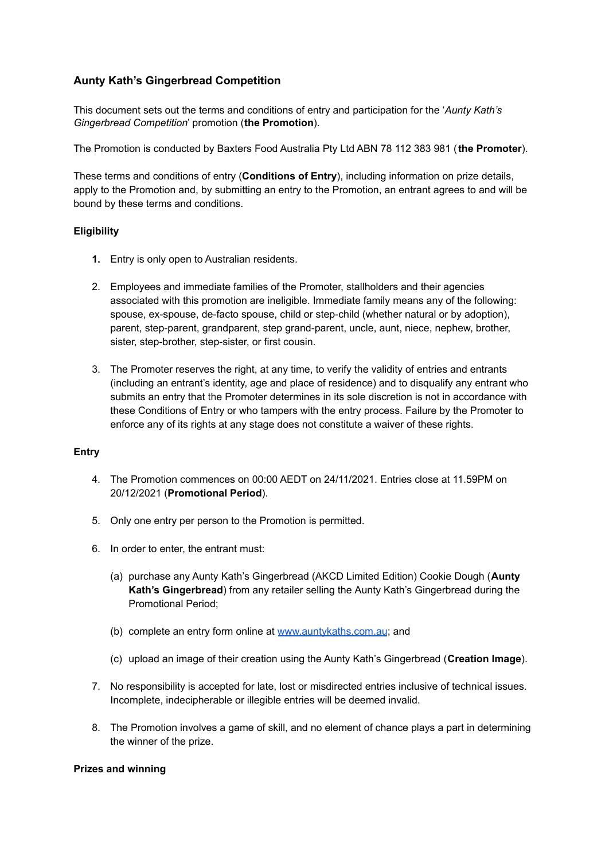# **Aunty Kath's Gingerbread Competition**

This document sets out the terms and conditions of entry and participation for the '*Aunty Kath's Gingerbread Competition*' promotion (**the Promotion**).

The Promotion is conducted by Baxters Food Australia Pty Ltd ABN 78 112 383 981 (**the Promoter**).

These terms and conditions of entry (**Conditions of Entry**), including information on prize details, apply to the Promotion and, by submitting an entry to the Promotion, an entrant agrees to and will be bound by these terms and conditions.

## **Eligibility**

- **1.** Entry is only open to Australian residents.
- 2. Employees and immediate families of the Promoter, stallholders and their agencies associated with this promotion are ineligible. Immediate family means any of the following: spouse, ex-spouse, de-facto spouse, child or step-child (whether natural or by adoption), parent, step-parent, grandparent, step grand-parent, uncle, aunt, niece, nephew, brother, sister, step-brother, step-sister, or first cousin.
- 3. The Promoter reserves the right, at any time, to verify the validity of entries and entrants (including an entrant's identity, age and place of residence) and to disqualify any entrant who submits an entry that the Promoter determines in its sole discretion is not in accordance with these Conditions of Entry or who tampers with the entry process. Failure by the Promoter to enforce any of its rights at any stage does not constitute a waiver of these rights.

### **Entry**

- 4. The Promotion commences on 00:00 AEDT on 24/11/2021. Entries close at 11.59PM on 20/12/2021 (**Promotional Period**).
- 5. Only one entry per person to the Promotion is permitted.
- 6. In order to enter, the entrant must:
	- (a) purchase any Aunty Kath's Gingerbread (AKCD Limited Edition) Cookie Dough (**Aunty Kath's Gingerbread**) from any retailer selling the Aunty Kath's Gingerbread during the Promotional Period;
	- (b) complete an entry form online at [www.auntykaths.com.au](http://www.auntykaths.com.au); and
	- (c) upload an image of their creation using the Aunty Kath's Gingerbread (**Creation Image**).
- 7. No responsibility is accepted for late, lost or misdirected entries inclusive of technical issues. Incomplete, indecipherable or illegible entries will be deemed invalid.
- 8. The Promotion involves a game of skill, and no element of chance plays a part in determining the winner of the prize.

### **Prizes and winning**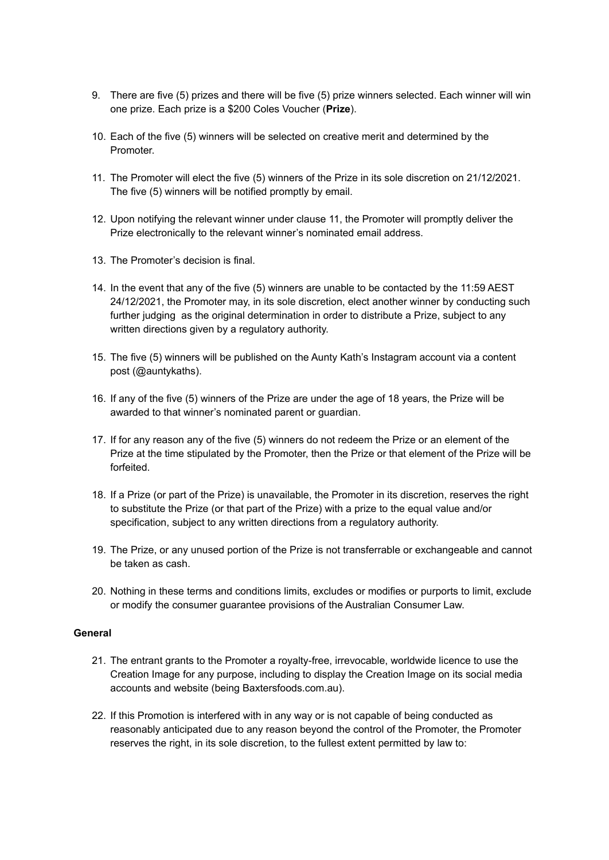- 9. There are five (5) prizes and there will be five (5) prize winners selected. Each winner will win one prize. Each prize is a \$200 Coles Voucher (**Prize**).
- 10. Each of the five (5) winners will be selected on creative merit and determined by the Promoter.
- 11. The Promoter will elect the five (5) winners of the Prize in its sole discretion on 21/12/2021. The five (5) winners will be notified promptly by email.
- 12. Upon notifying the relevant winner under clause 11, the Promoter will promptly deliver the Prize electronically to the relevant winner's nominated email address.
- 13. The Promoter's decision is final.
- 14. In the event that any of the five (5) winners are unable to be contacted by the 11:59 AEST 24/12/2021, the Promoter may, in its sole discretion, elect another winner by conducting such further judging as the original determination in order to distribute a Prize, subject to any written directions given by a regulatory authority.
- 15. The five (5) winners will be published on the Aunty Kath's Instagram account via a content post (@auntykaths).
- 16. If any of the five (5) winners of the Prize are under the age of 18 years, the Prize will be awarded to that winner's nominated parent or guardian.
- 17. If for any reason any of the five (5) winners do not redeem the Prize or an element of the Prize at the time stipulated by the Promoter, then the Prize or that element of the Prize will be forfeited.
- 18. If a Prize (or part of the Prize) is unavailable, the Promoter in its discretion, reserves the right to substitute the Prize (or that part of the Prize) with a prize to the equal value and/or specification, subject to any written directions from a regulatory authority.
- 19. The Prize, or any unused portion of the Prize is not transferrable or exchangeable and cannot be taken as cash.
- 20. Nothing in these terms and conditions limits, excludes or modifies or purports to limit, exclude or modify the consumer guarantee provisions of the Australian Consumer Law.

#### **General**

- 21. The entrant grants to the Promoter a royalty-free, irrevocable, worldwide licence to use the Creation Image for any purpose, including to display the Creation Image on its social media accounts and website (being Baxtersfoods.com.au).
- 22. If this Promotion is interfered with in any way or is not capable of being conducted as reasonably anticipated due to any reason beyond the control of the Promoter, the Promoter reserves the right, in its sole discretion, to the fullest extent permitted by law to: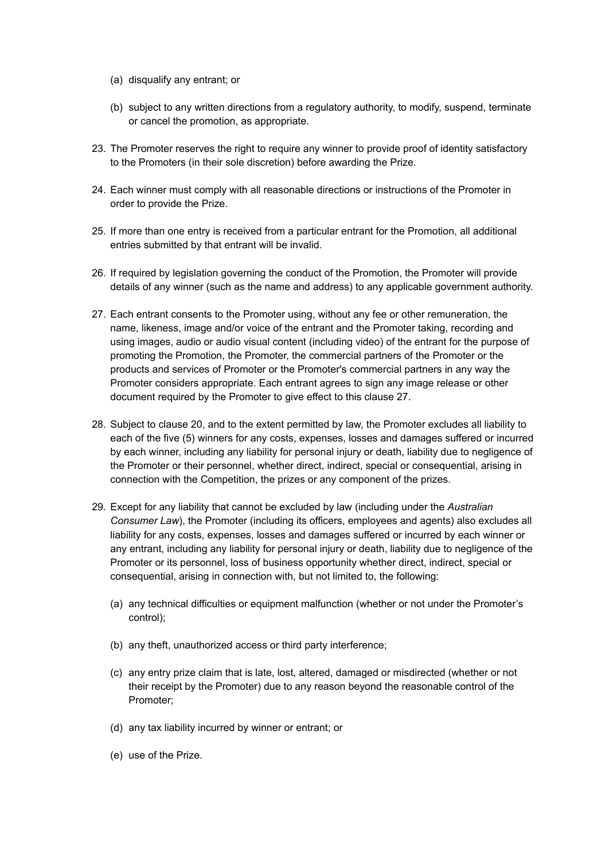- (a) disqualify any entrant; or
- (b) subject to any written directions from a regulatory authority, to modify, suspend, terminate or cancel the promotion, as appropriate.
- 23. The Promoter reserves the right to require any winner to provide proof of identity satisfactory to the Promoters (in their sole discretion) before awarding the Prize.
- 24. Each winner must comply with all reasonable directions or instructions of the Promoter in order to provide the Prize.
- 25. If more than one entry is received from a particular entrant for the Promotion, all additional entries submitted by that entrant will be invalid.
- 26. If required by legislation governing the conduct of the Promotion, the Promoter will provide details of any winner (such as the name and address) to any applicable government authority.
- 27. Each entrant consents to the Promoter using, without any fee or other remuneration, the name, likeness, image and/or voice of the entrant and the Promoter taking, recording and using images, audio or audio visual content (including video) of the entrant for the purpose of promoting the Promotion, the Promoter, the commercial partners of the Promoter or the products and services of Promoter or the Promoter's commercial partners in any way the Promoter considers appropriate. Each entrant agrees to sign any image release or other document required by the Promoter to give effect to this clause 27.
- 28. Subject to clause 20, and to the extent permitted by law, the Promoter excludes all liability to each of the five (5) winners for any costs, expenses, losses and damages suffered or incurred by each winner, including any liability for personal injury or death, liability due to negligence of the Promoter or their personnel, whether direct, indirect, special or consequential, arising in connection with the Competition, the prizes or any component of the prizes.
- 29. Except for any liability that cannot be excluded by law (including under the *Australian Consumer Law*), the Promoter (including its officers, employees and agents) also excludes all liability for any costs, expenses, losses and damages suffered or incurred by each winner or any entrant, including any liability for personal injury or death, liability due to negligence of the Promoter or its personnel, loss of business opportunity whether direct, indirect, special or consequential, arising in connection with, but not limited to, the following:
	- (a) any technical difficulties or equipment malfunction (whether or not under the Promoter's control);
	- (b) any theft, unauthorized access or third party interference;
	- (c) any entry prize claim that is late, lost, altered, damaged or misdirected (whether or not their receipt by the Promoter) due to any reason beyond the reasonable control of the Promoter;
	- (d) any tax liability incurred by winner or entrant; or
	- (e) use of the Prize.